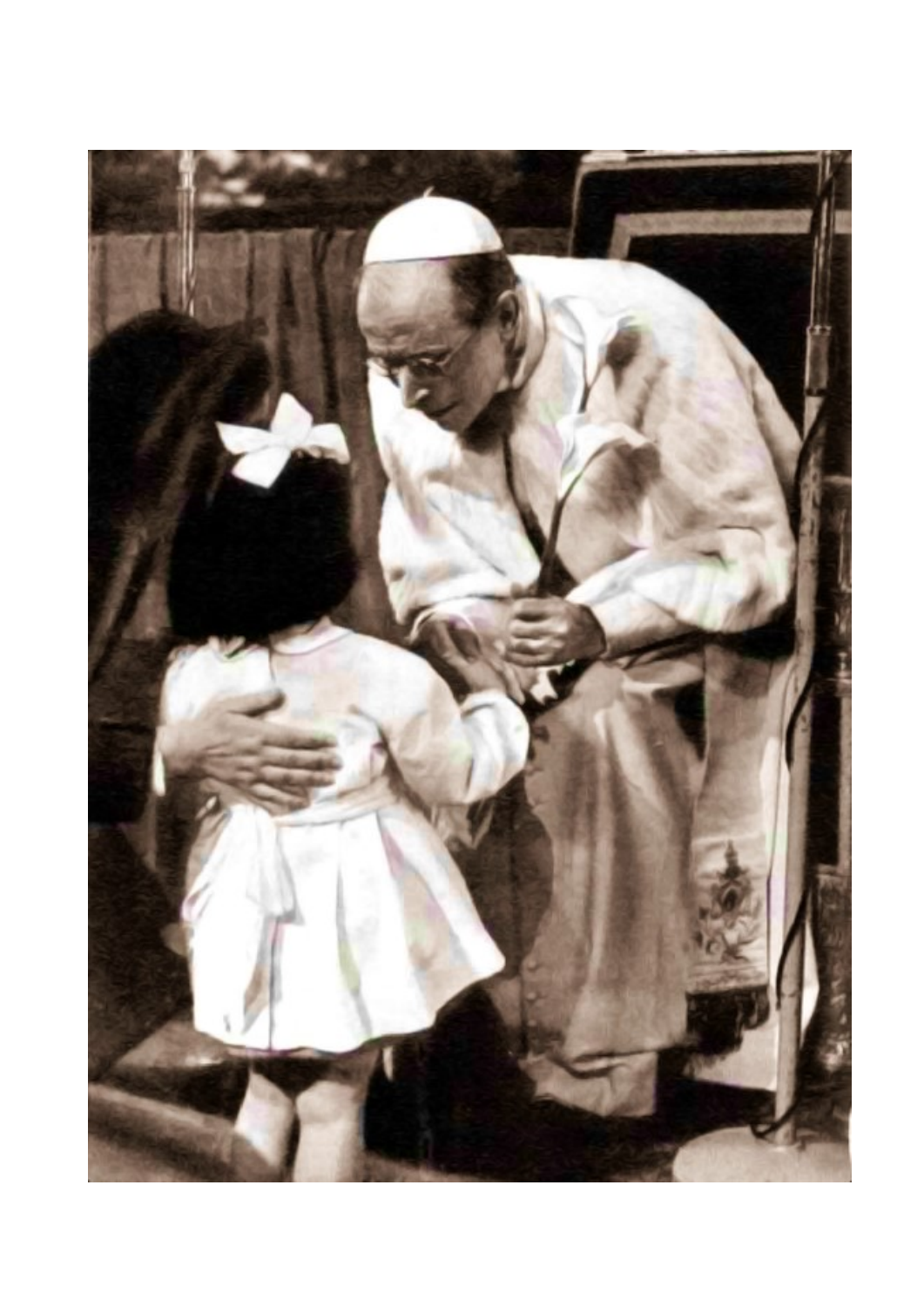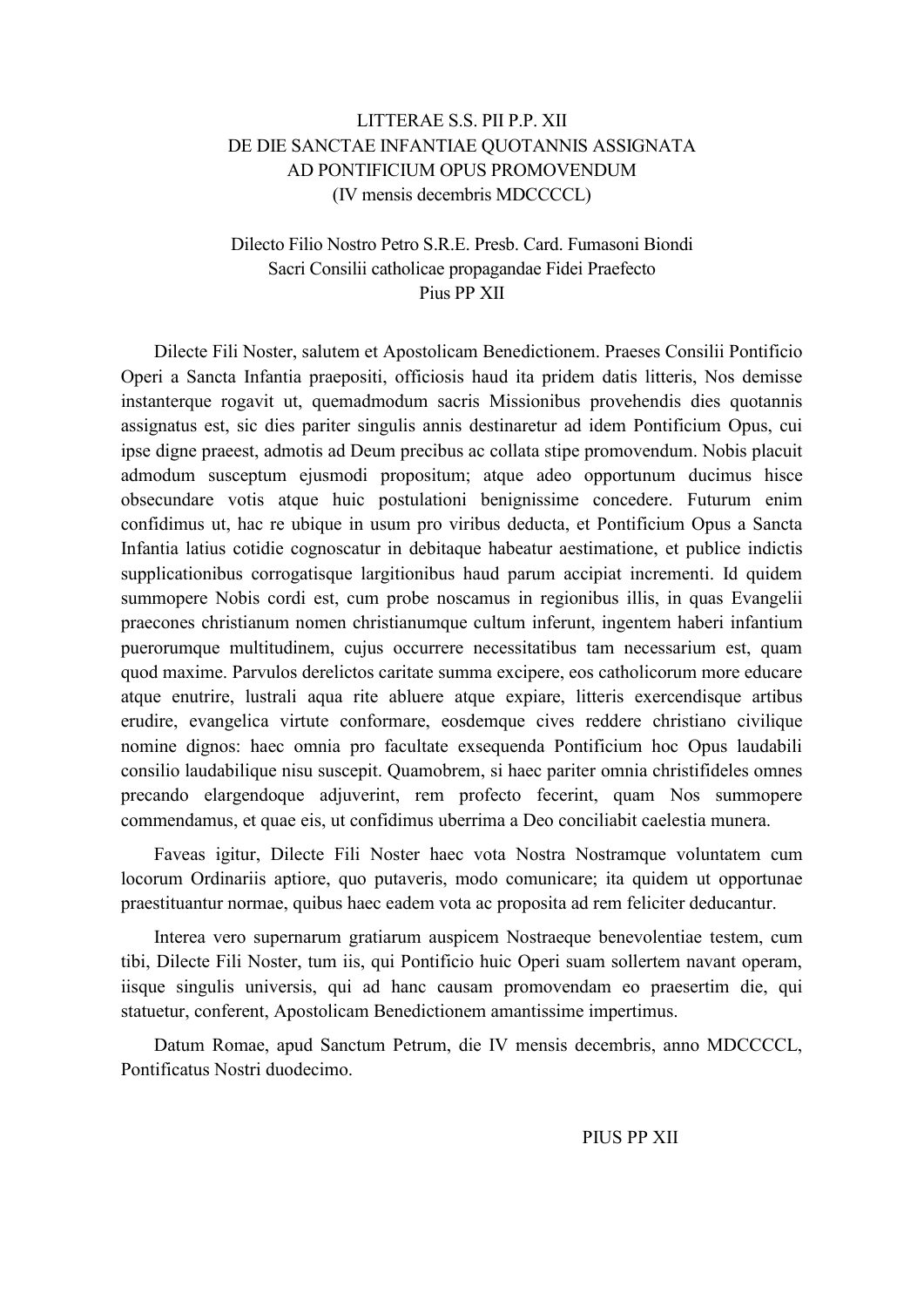## LITTERAE S.S. PII P.P. XII DE DIE SANCTAE INFANTIAE QUOTANNIS ASSIGNATA AD PONTIFICIUM OPUS PROMOVENDUM (IV mensis decembris MDCCCCL)

## Dilecto Filio Nostro Petro S.R.E. Presb. Card. Fumasoni Biondi Sacri Consilii catholicae propagandae Fidei Praefecto Pius PP XII

Dilecte Fili Noster, salutem et Apostolicam Benedictionem. Praeses Consilii Pontificio Operi a Sancta Infantia praepositi, officiosis haud ita pridem datis litteris, Nos demisse instanterque rogavit ut, quemadmodum sacris Missionibus provehendis dies quotannis assignatus est, sic dies pariter singulis annis destinaretur ad idem Pontificium Opus, cui ipse digne praeest, admotis ad Deum precibus ac collata stipe promovendum. Nobis placuit admodum susceptum ejusmodi propositum; atque adeo opportunum ducimus hisce obsecundare votis atque huic postulationi benignissime concedere. Futurum enim confidimus ut, hac re ubique in usum pro viribus deducta, et Pontificium Opus a Sancta Infantia latius cotidie cognoscatur in debitaque habeatur aestimatione, et publice indictis supplicationibus corrogatisque largitionibus haud parum accipiat incrementi. Id quidem summopere Nobis cordi est, cum probe noscamus in regionibus illis, in quas Evangelii praecones christianum nomen christianumque cultum inferunt, ingentem haberi infantium puerorumque multitudinem, cujus occurrere necessitatibus tam necessarium est, quam quod maxime. Parvulos derelictos caritate summa excipere, eos catholicorum more educare atque enutrire, lustrali aqua rite abluere atque expiare, litteris exercendisque artibus erudire, evangelica virtute conformare, eosdemque cives reddere christiano civilique nomine dignos: haec omnia pro facultate exsequenda Pontificium hoc Opus laudabili consilio laudabilique nisu suscepit. Quamobrem, si haec pariter omnia christifideles omnes precando elargendoque adjuverint, rem profecto fecerint, quam Nos summopere commendamus, et quae eis, ut confidimus uberrima a Deo conciliabit caelestia munera.

Faveas igitur, Dilecte Fili Noster haec vota Nostra Nostramque voluntatem cum locorum Ordinariis aptiore, quo putaveris, modo comunicare; ita quidem ut opportunae praestituantur normae, quibus haec eadem vota ac proposita ad rem feliciter deducantur.

Interea vero supernarum gratiarum auspicem Nostraeque benevolentiae testem, cum tibi, Dilecte Fili Noster, tum iis, qui Pontificio huic Operi suam sollertem navant operam, iisque singulis universis, qui ad hanc causam promovendam eo praesertim die, qui statuetur, conferent, Apostolicam Benedictionem amantissime impertimus.

Datum Romae, apud Sanctum Petrum, die IV mensis decembris, anno MDCCCCL, Pontificatus Nostri duodecimo.

PIUS PP XII